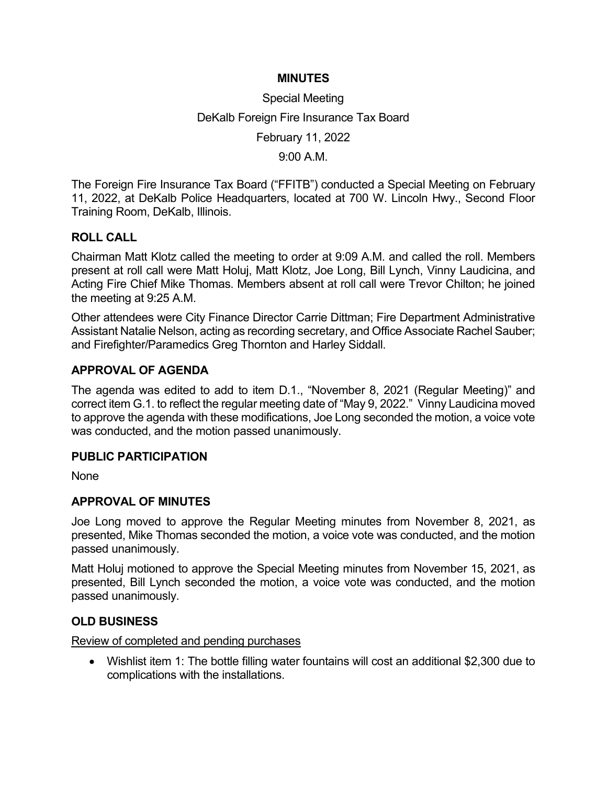### MINUTES

# Special Meeting DeKalb Foreign Fire Insurance Tax Board February 11, 2022

9:00 A.M.

The Foreign Fire Insurance Tax Board ("FFITB") conducted a Special Meeting on February 11, 2022, at DeKalb Police Headquarters, located at 700 W. Lincoln Hwy., Second Floor Training Room, DeKalb, Illinois.

## ROLL CALL

Chairman Matt Klotz called the meeting to order at 9:09 A.M. and called the roll. Members present at roll call were Matt Holuj, Matt Klotz, Joe Long, Bill Lynch, Vinny Laudicina, and Acting Fire Chief Mike Thomas. Members absent at roll call were Trevor Chilton; he joined the meeting at 9:25 A.M.

Other attendees were City Finance Director Carrie Dittman; Fire Department Administrative Assistant Natalie Nelson, acting as recording secretary, and Office Associate Rachel Sauber; and Firefighter/Paramedics Greg Thornton and Harley Siddall.

### APPROVAL OF AGENDA

The agenda was edited to add to item D.1., "November 8, 2021 (Regular Meeting)" and correct item G.1. to reflect the regular meeting date of "May 9, 2022." Vinny Laudicina moved to approve the agenda with these modifications, Joe Long seconded the motion, a voice vote was conducted, and the motion passed unanimously.

### PUBLIC PARTICIPATION

None

## APPROVAL OF MINUTES

Joe Long moved to approve the Regular Meeting minutes from November 8, 2021, as presented, Mike Thomas seconded the motion, a voice vote was conducted, and the motion passed unanimously.

Matt Holuj motioned to approve the Special Meeting minutes from November 15, 2021, as presented, Bill Lynch seconded the motion, a voice vote was conducted, and the motion passed unanimously.

### OLD BUSINESS

Review of completed and pending purchases

 Wishlist item 1: The bottle filling water fountains will cost an additional \$2,300 due to complications with the installations.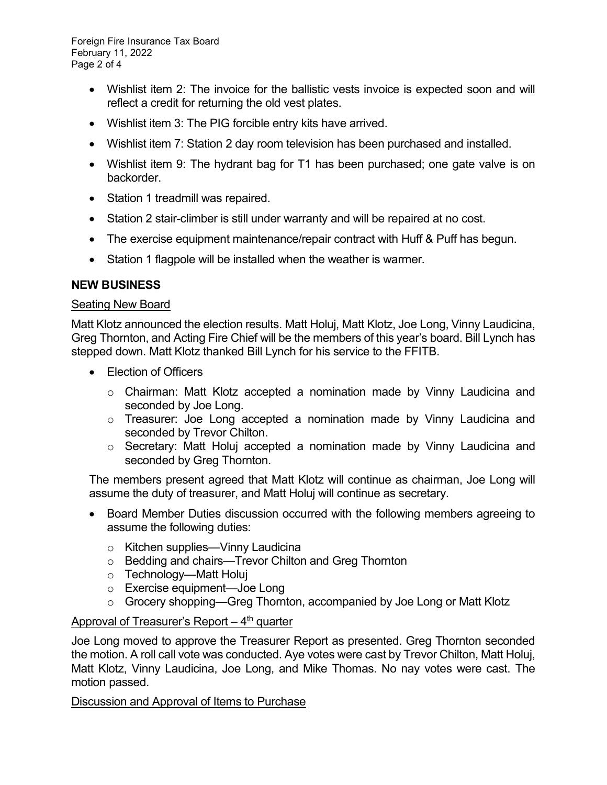Foreign Fire Insurance Tax Board February 11, 2022 Page 2 of 4

- Wishlist item 2: The invoice for the ballistic vests invoice is expected soon and will reflect a credit for returning the old vest plates.
- Wishlist item 3: The PIG forcible entry kits have arrived.
- Wishlist item 7: Station 2 day room television has been purchased and installed.
- Wishlist item 9: The hydrant bag for T1 has been purchased; one gate valve is on backorder.
- Station 1 treadmill was repaired.
- Station 2 stair-climber is still under warranty and will be repaired at no cost.
- The exercise equipment maintenance/repair contract with Huff & Puff has begun.
- Station 1 flagpole will be installed when the weather is warmer.

### NEW BUSINESS

#### Seating New Board

Matt Klotz announced the election results. Matt Holuj, Matt Klotz, Joe Long, Vinny Laudicina, Greg Thornton, and Acting Fire Chief will be the members of this year's board. Bill Lynch has stepped down. Matt Klotz thanked Bill Lynch for his service to the FFITB.

- Election of Officers
	- $\circ$  Chairman: Matt Klotz accepted a nomination made by Vinny Laudicina and seconded by Joe Long.
	- o Treasurer: Joe Long accepted a nomination made by Vinny Laudicina and seconded by Trevor Chilton.
	- o Secretary: Matt Holuj accepted a nomination made by Vinny Laudicina and seconded by Greg Thornton.

The members present agreed that Matt Klotz will continue as chairman, Joe Long will assume the duty of treasurer, and Matt Holuj will continue as secretary.

- Board Member Duties discussion occurred with the following members agreeing to assume the following duties:
	- o Kitchen supplies—Vinny Laudicina
	- o Bedding and chairs—Trevor Chilton and Greg Thornton
	- o Technology—Matt Holuj
	- o Exercise equipment—Joe Long
	- o Grocery shopping—Greg Thornton, accompanied by Joe Long or Matt Klotz

### Approval of Treasurer's Report  $-4<sup>th</sup>$  quarter

Joe Long moved to approve the Treasurer Report as presented. Greg Thornton seconded the motion. A roll call vote was conducted. Aye votes were cast by Trevor Chilton, Matt Holuj, Matt Klotz, Vinny Laudicina, Joe Long, and Mike Thomas. No nay votes were cast. The motion passed.

### Discussion and Approval of Items to Purchase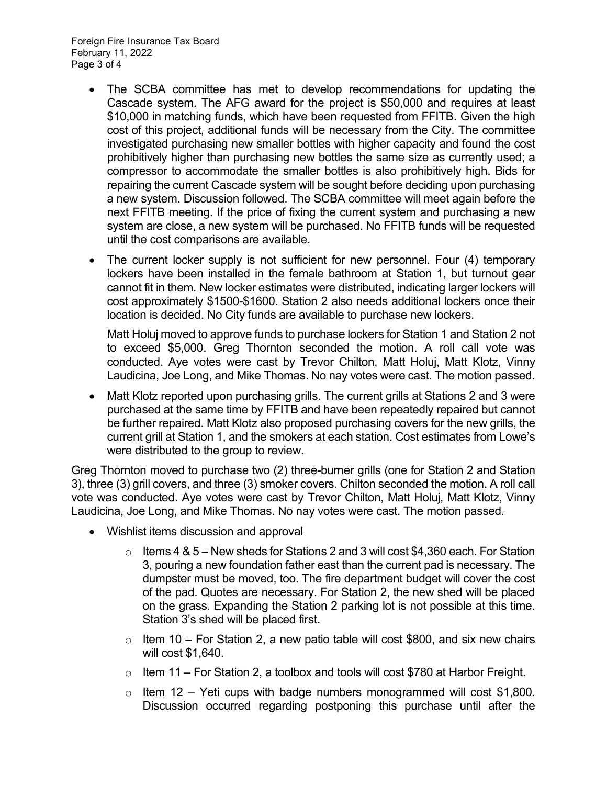Foreign Fire Insurance Tax Board February 11, 2022 Page 3 of 4

- The SCBA committee has met to develop recommendations for updating the Cascade system. The AFG award for the project is \$50,000 and requires at least \$10,000 in matching funds, which have been requested from FFITB. Given the high cost of this project, additional funds will be necessary from the City. The committee investigated purchasing new smaller bottles with higher capacity and found the cost prohibitively higher than purchasing new bottles the same size as currently used; a compressor to accommodate the smaller bottles is also prohibitively high. Bids for repairing the current Cascade system will be sought before deciding upon purchasing a new system. Discussion followed. The SCBA committee will meet again before the next FFITB meeting. If the price of fixing the current system and purchasing a new system are close, a new system will be purchased. No FFITB funds will be requested until the cost comparisons are available.
- The current locker supply is not sufficient for new personnel. Four (4) temporary lockers have been installed in the female bathroom at Station 1, but turnout gear cannot fit in them. New locker estimates were distributed, indicating larger lockers will cost approximately \$1500-\$1600. Station 2 also needs additional lockers once their location is decided. No City funds are available to purchase new lockers.

Matt Holuj moved to approve funds to purchase lockers for Station 1 and Station 2 not to exceed \$5,000. Greg Thornton seconded the motion. A roll call vote was conducted. Aye votes were cast by Trevor Chilton, Matt Holuj, Matt Klotz, Vinny Laudicina, Joe Long, and Mike Thomas. No nay votes were cast. The motion passed.

 Matt Klotz reported upon purchasing grills. The current grills at Stations 2 and 3 were purchased at the same time by FFITB and have been repeatedly repaired but cannot be further repaired. Matt Klotz also proposed purchasing covers for the new grills, the current grill at Station 1, and the smokers at each station. Cost estimates from Lowe's were distributed to the group to review.

Greg Thornton moved to purchase two (2) three-burner grills (one for Station 2 and Station 3), three (3) grill covers, and three (3) smoker covers. Chilton seconded the motion. A roll call vote was conducted. Aye votes were cast by Trevor Chilton, Matt Holuj, Matt Klotz, Vinny Laudicina, Joe Long, and Mike Thomas. No nay votes were cast. The motion passed.

- Wishlist items discussion and approval
	- $\circ$  Items 4 & 5 New sheds for Stations 2 and 3 will cost \$4,360 each. For Station 3, pouring a new foundation father east than the current pad is necessary. The dumpster must be moved, too. The fire department budget will cover the cost of the pad. Quotes are necessary. For Station 2, the new shed will be placed on the grass. Expanding the Station 2 parking lot is not possible at this time. Station 3's shed will be placed first.
	- $\circ$  Item 10 For Station 2, a new patio table will cost \$800, and six new chairs will cost \$1,640.
	- $\circ$  Item 11 For Station 2, a toolbox and tools will cost \$780 at Harbor Freight.
	- $\circ$  Item 12 Yeti cups with badge numbers monogrammed will cost \$1,800. Discussion occurred regarding postponing this purchase until after the